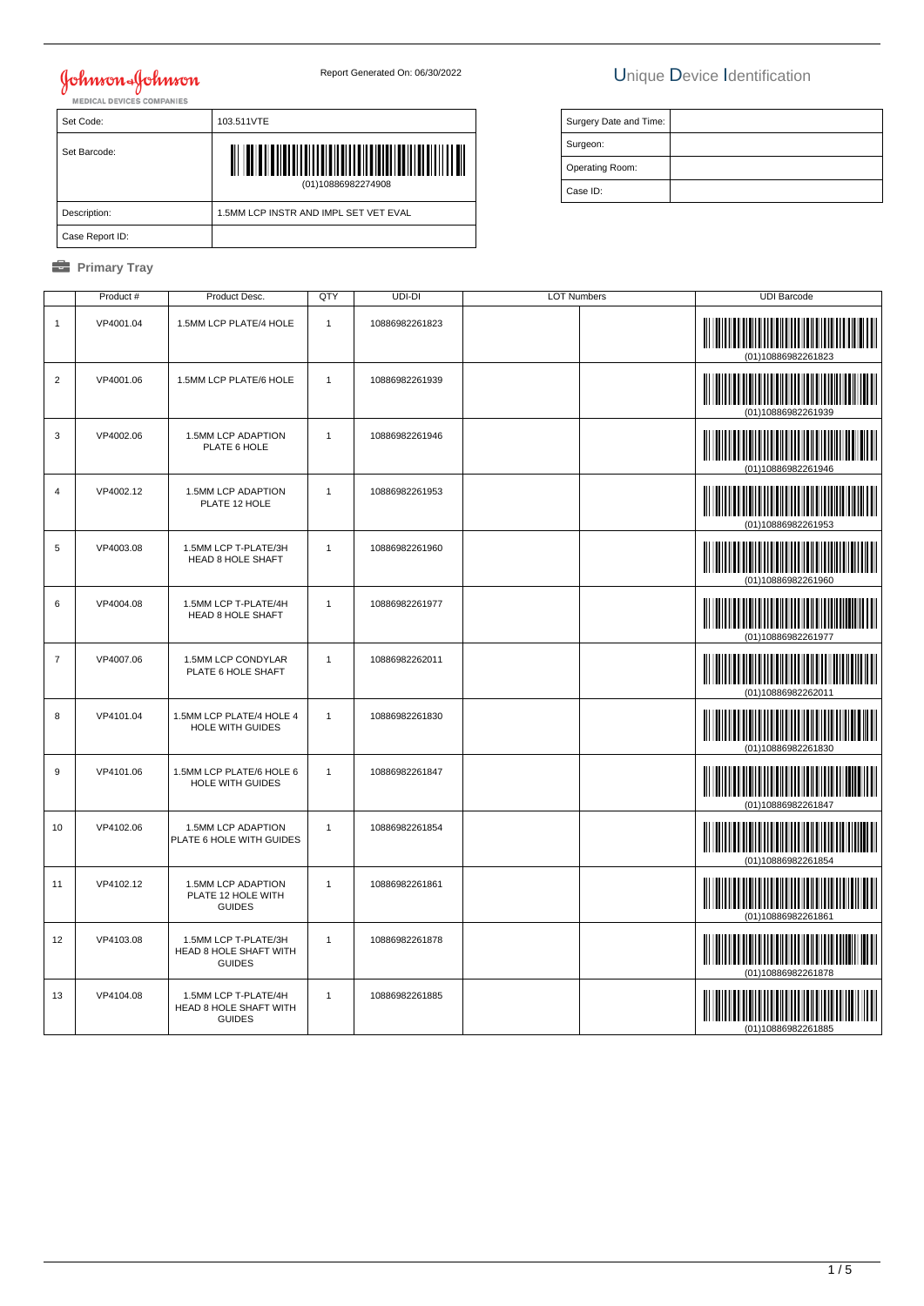# **Johnson & Johnson**

## Report Generated On: 06/30/2022 Unique Device Identification

| Surgery Date and Time: |  |
|------------------------|--|
| Surgeon:               |  |
| Operating Room:        |  |
| Case ID:               |  |

| Set Code:       | 103.511VTE                                  |
|-----------------|---------------------------------------------|
| Set Barcode:    | <b>THE TELEVISION</b><br>(01)10886982274908 |
| Description:    | 1.5MM LCP INSTR AND IMPL SET VET EVAL       |
| Case Report ID: |                                             |

#### *<u><b>* Primary Tray</u>

|                | Product # | Product Desc.                                                   | QTY            | UDI-DI         | <b>LOT Numbers</b> | <b>UDI Barcode</b>                                                                                                                          |
|----------------|-----------|-----------------------------------------------------------------|----------------|----------------|--------------------|---------------------------------------------------------------------------------------------------------------------------------------------|
| $\mathbf{1}$   | VP4001.04 | 1.5MM LCP PLATE/4 HOLE                                          | $\mathbf{1}$   | 10886982261823 |                    | <u> III martin ma'lumot</u><br>III<br>(01)10886982261823                                                                                    |
| $\overline{2}$ | VP4001.06 | 1.5MM LCP PLATE/6 HOLE                                          | $\mathbf{1}$   | 10886982261939 |                    | (01)10886982261939                                                                                                                          |
| 3              | VP4002.06 | 1.5MM LCP ADAPTION<br>PLATE 6 HOLE                              | $\mathbf{1}$   | 10886982261946 |                    | (01)10886982261946                                                                                                                          |
| $\overline{4}$ | VP4002.12 | 1.5MM LCP ADAPTION<br>PLATE 12 HOLE                             | $\overline{1}$ | 10886982261953 |                    | (01)10886982261953                                                                                                                          |
| 5              | VP4003.08 | 1.5MM LCP T-PLATE/3H<br><b>HEAD 8 HOLE SHAFT</b>                | $\mathbf{1}$   | 10886982261960 |                    | <u> III martin ma'lumot</u><br>(01)10886982261960                                                                                           |
| 6              | VP4004.08 | 1.5MM LCP T-PLATE/4H<br><b>HEAD 8 HOLE SHAFT</b>                | $\mathbf{1}$   | 10886982261977 |                    | (01)10886982261977                                                                                                                          |
| $\overline{7}$ | VP4007.06 | 1.5MM LCP CONDYLAR<br>PLATE 6 HOLE SHAFT                        | $\overline{1}$ | 10886982262011 |                    | (01)10886982262011                                                                                                                          |
| 8              | VP4101.04 | 1.5MM LCP PLATE/4 HOLE 4<br><b>HOLE WITH GUIDES</b>             | $\mathbf{1}$   | 10886982261830 |                    | (01)10886982261830                                                                                                                          |
| 9              | VP4101.06 | 1.5MM LCP PLATE/6 HOLE 6<br><b>HOLE WITH GUIDES</b>             | $\mathbf{1}$   | 10886982261847 |                    | <u> Indian Maria San Barat Indian Maria San Barat Indian Maria San Barat Indian Maria San Barat Indian Maria San </u><br>(01)10886982261847 |
| 10             | VP4102.06 | 1.5MM LCP ADAPTION<br>PLATE 6 HOLE WITH GUIDES                  | $\mathbf{1}$   | 10886982261854 |                    | (01)10886982261854                                                                                                                          |
| 11             | VP4102.12 | 1.5MM LCP ADAPTION<br>PLATE 12 HOLE WITH<br><b>GUIDES</b>       | $\mathbf{1}$   | 10886982261861 |                    | (01)10886982261861                                                                                                                          |
| 12             | VP4103.08 | 1.5MM LCP T-PLATE/3H<br>HEAD 8 HOLE SHAFT WITH<br><b>GUIDES</b> | $\mathbf{1}$   | 10886982261878 |                    | (01)10886982261878                                                                                                                          |
| 13             | VP4104.08 | 1.5MM LCP T-PLATE/4H<br>HEAD 8 HOLE SHAFT WITH<br><b>GUIDES</b> | $\mathbf{1}$   | 10886982261885 |                    | (01)10886982261885                                                                                                                          |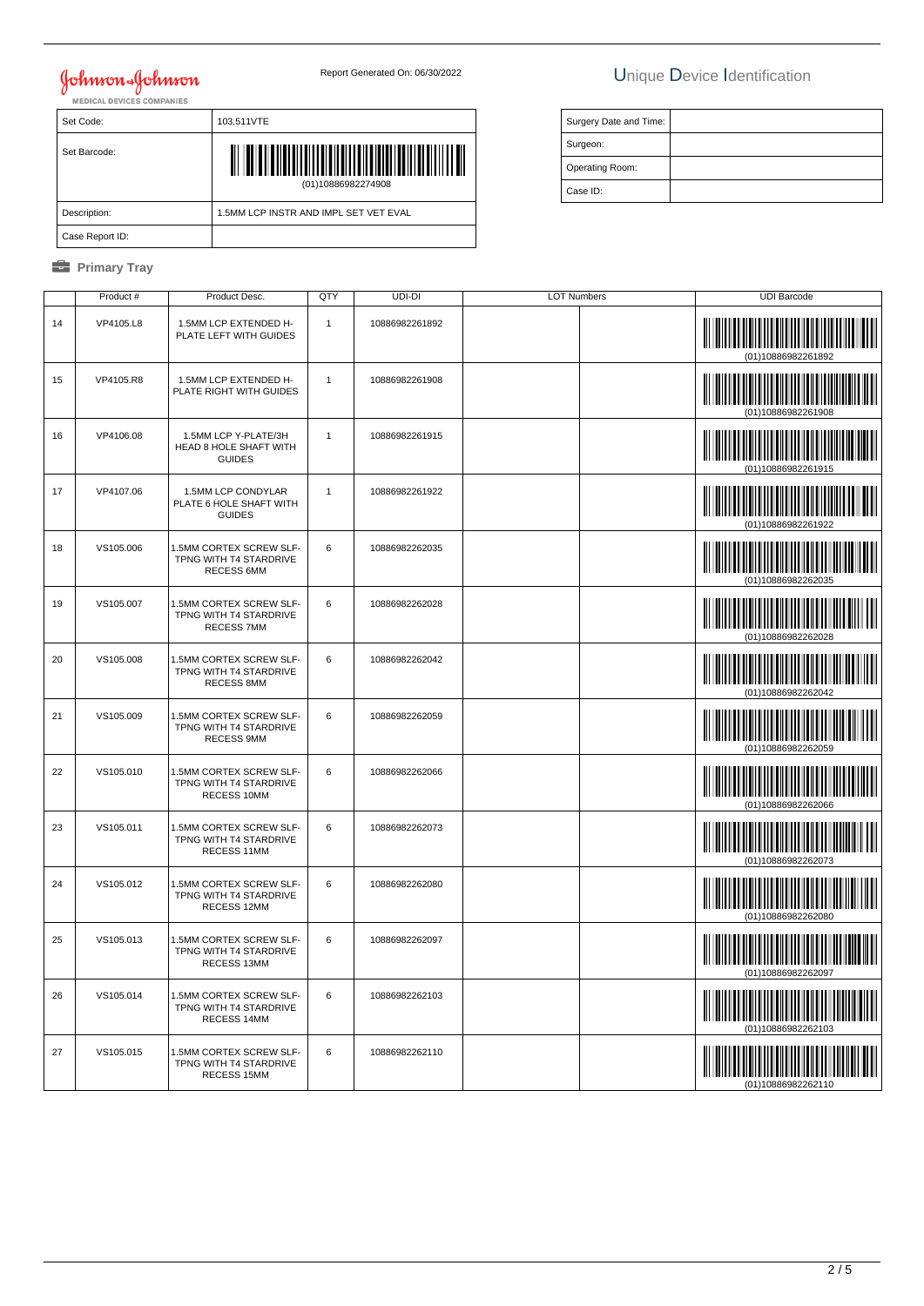# **Johnson & Johnson**

Set Code: 103.511VTE

Description:  $\Big| 1.5$ MM LCP INSTR AND IMPL SET VET EVAL

(01)10886982274908

### Report Generated On: 06/30/2022 Unique Device Identification

| Surgery Date and Time: |  |
|------------------------|--|
| Surgeon:               |  |
| Operating Room:        |  |
| Case ID:               |  |

*<u><b>* Primary Tray</u>

Case Report ID:

Set Barcode:

|    | Product#  | Product Desc.                                                          | QTY          | UDI-DI         | <b>LOT Numbers</b> | <b>UDI Barcode</b>                              |
|----|-----------|------------------------------------------------------------------------|--------------|----------------|--------------------|-------------------------------------------------|
| 14 | VP4105.L8 | 1.5MM LCP EXTENDED H-<br>PLATE LEFT WITH GUIDES                        | $\mathbf{1}$ | 10886982261892 |                    |                                                 |
| 15 | VP4105.R8 | 1.5MM LCP EXTENDED H-<br>PLATE RIGHT WITH GUIDES                       | $\mathbf{1}$ | 10886982261908 |                    |                                                 |
| 16 | VP4106.08 | 1.5MM LCP Y-PLATE/3H<br>HEAD 8 HOLE SHAFT WITH<br><b>GUIDES</b>        | $\mathbf{1}$ | 10886982261915 |                    | (01)10886982261915                              |
| 17 | VP4107.06 | 1.5MM LCP CONDYLAR<br>PLATE 6 HOLE SHAFT WITH<br><b>GUIDES</b>         | $\mathbf{1}$ | 10886982261922 |                    |                                                 |
| 18 | VS105.006 | 1.5MM CORTEX SCREW SLF-<br>TPNG WITH T4 STARDRIVE<br><b>RECESS 6MM</b> | 6            | 10886982262035 |                    |                                                 |
| 19 | VS105.007 | 1.5MM CORTEX SCREW SLF-<br>TPNG WITH T4 STARDRIVE<br><b>RECESS 7MM</b> | 6            | 10886982262028 |                    | (01)10886982262028                              |
| 20 | VS105.008 | 1.5MM CORTEX SCREW SLF-<br>TPNG WITH T4 STARDRIVE<br><b>RECESS 8MM</b> | 6            | 10886982262042 |                    | (01)10886982262042                              |
| 21 | VS105.009 | 1.5MM CORTEX SCREW SLF-<br>TPNG WITH T4 STARDRIVE<br><b>RECESS 9MM</b> | 6            | 10886982262059 |                    |                                                 |
| 22 | VS105.010 | 1.5MM CORTEX SCREW SLF-<br>TPNG WITH T4 STARDRIVE<br>RECESS 10MM       | 6            | 10886982262066 |                    |                                                 |
| 23 | VS105.011 | 1.5MM CORTEX SCREW SLF-<br>TPNG WITH T4 STARDRIVE<br>RECESS 11MM       | 6            | 10886982262073 |                    |                                                 |
| 24 | VS105.012 | 1.5MM CORTEX SCREW SLF-<br>TPNG WITH T4 STARDRIVE<br>RECESS 12MM       | 6            | 10886982262080 |                    | (01)10886982262080                              |
| 25 | VS105.013 | 1.5MM CORTEX SCREW SLF-<br>TPNG WITH T4 STARDRIVE<br>RECESS 13MM       | 6            | 10886982262097 |                    | <u> III maarta maanda ka mid maalaa isa mid</u> |
| 26 | VS105.014 | 1.5MM CORTEX SCREW SLF-<br>TPNG WITH T4 STARDRIVE<br>RECESS 14MM       | 6            | 10886982262103 |                    |                                                 |
| 27 | VS105.015 | 1.5MM CORTEX SCREW SLF-<br>TPNG WITH T4 STARDRIVE<br>RECESS 15MM       | 6            | 10886982262110 |                    | (01)10886982262110                              |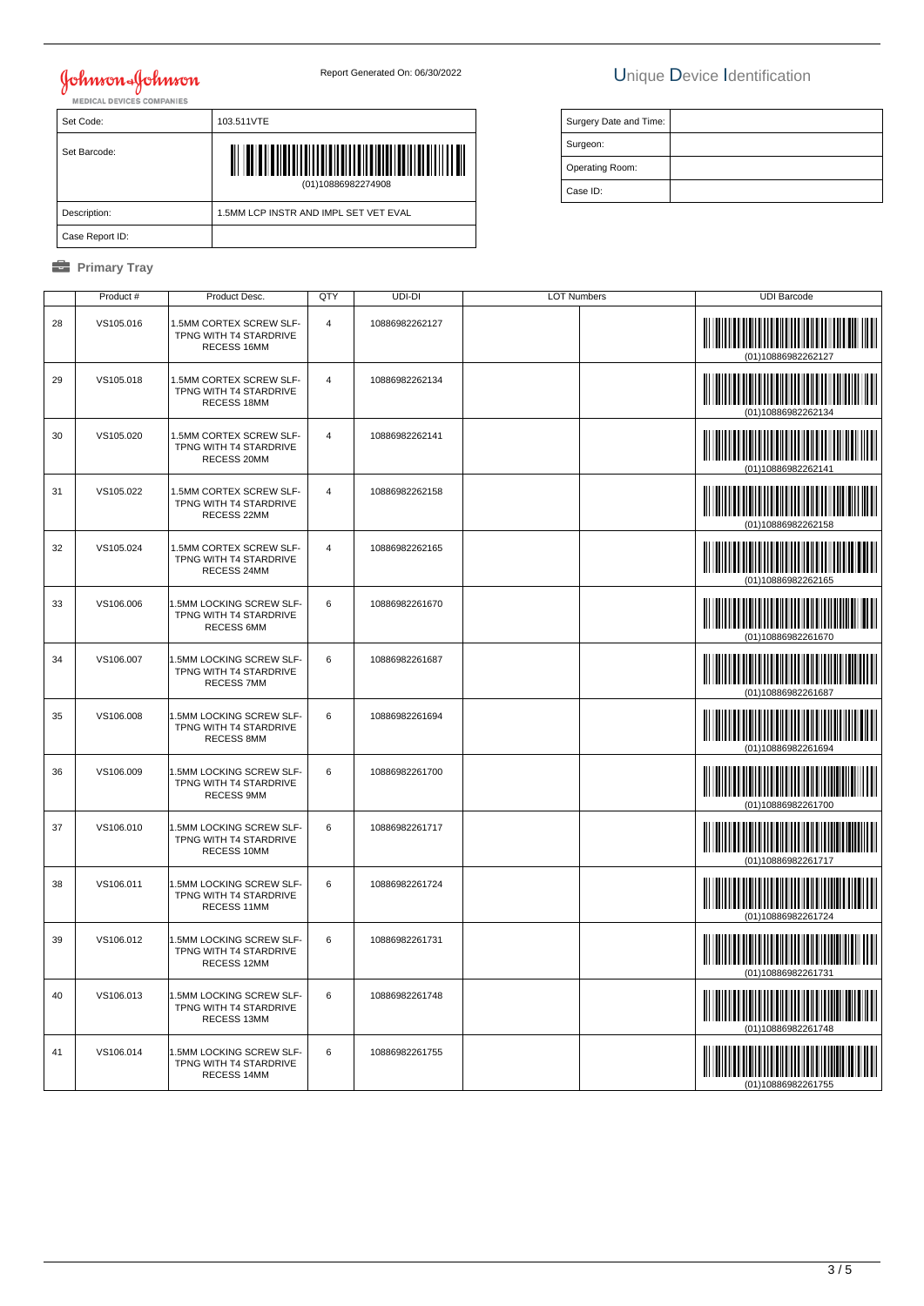# Johnson Johnson

## Report Generated On: 06/30/2022 Unique Device Identification

Surgery Date and Time:

 Surgeon: Operating Room: Case ID:

| MENIUAL DETIULO UUMFANILO |                                       |  |  |  |
|---------------------------|---------------------------------------|--|--|--|
| Set Code:                 | 103.511VTE                            |  |  |  |
| Set Barcode:              | (01)10886982274908                    |  |  |  |
| Description:              | 1.5MM LCP INSTR AND IMPL SET VET EVAL |  |  |  |
| Case Report ID:           |                                       |  |  |  |

### *<u><b>* Primary Tray</u>

|    | Product # | Product Desc.                                                           | QTY            | UDI-DI         | <b>LOT Numbers</b> | <b>UDI Barcode</b>                         |
|----|-----------|-------------------------------------------------------------------------|----------------|----------------|--------------------|--------------------------------------------|
| 28 | VS105.016 | 1.5MM CORTEX SCREW SLF-<br>TPNG WITH T4 STARDRIVE<br>RECESS 16MM        | $\overline{4}$ | 10886982262127 |                    |                                            |
| 29 | VS105.018 | 1.5MM CORTEX SCREW SLF-<br>TPNG WITH T4 STARDRIVE<br>RECESS 18MM        | $\overline{4}$ | 10886982262134 |                    | (01)10886982262134                         |
| 30 | VS105.020 | 1.5MM CORTEX SCREW SLF-<br>TPNG WITH T4 STARDRIVE<br>RECESS 20MM        | $\overline{4}$ | 10886982262141 |                    | (01)10886982262141                         |
| 31 | VS105.022 | 1.5MM CORTEX SCREW SLF-<br>TPNG WITH T4 STARDRIVE<br>RECESS 22MM        | $\overline{4}$ | 10886982262158 |                    | (01)10886982262158                         |
| 32 | VS105.024 | 1.5MM CORTEX SCREW SLF-<br>TPNG WITH T4 STARDRIVE<br>RECESS 24MM        | $\overline{4}$ | 10886982262165 |                    |                                            |
| 33 | VS106.006 | 1.5MM LOCKING SCREW SLF-<br>TPNG WITH T4 STARDRIVE<br><b>RECESS 6MM</b> | 6              | 10886982261670 |                    | (01)10886982261670                         |
| 34 | VS106.007 | 1.5MM LOCKING SCREW SLF-<br>TPNG WITH T4 STARDRIVE<br><b>RECESS 7MM</b> | 6              | 10886982261687 |                    | (01)10886982261687                         |
| 35 | VS106.008 | 1.5MM LOCKING SCREW SLF-<br>TPNG WITH T4 STARDRIVE<br>RECESS 8MM        | 6              | 10886982261694 |                    | (01)10886982261694                         |
| 36 | VS106.009 | 1.5MM LOCKING SCREW SLF-<br>TPNG WITH T4 STARDRIVE<br>RECESS 9MM        | 6              | 10886982261700 |                    | (01)10886982261700                         |
| 37 | VS106.010 | 1.5MM LOCKING SCREW SLF-<br>TPNG WITH T4 STARDRIVE<br>RECESS 10MM       | 6              | 10886982261717 |                    |                                            |
| 38 | VS106.011 | 1.5MM LOCKING SCREW SLF-<br>TPNG WITH T4 STARDRIVE<br>RECESS 11MM       | 6              | 10886982261724 |                    | <u> Hillingan ka</u><br>(01)10886982261724 |
| 39 | VS106.012 | 1.5MM LOCKING SCREW SLF-<br>TPNG WITH T4 STARDRIVE<br>RECESS 12MM       | 6              | 10886982261731 |                    | (01)10886982261731                         |
| 40 | VS106.013 | 1.5MM LOCKING SCREW SLF-<br>TPNG WITH T4 STARDRIVE<br>RECESS 13MM       | 6              | 10886982261748 |                    |                                            |
| 41 | VS106.014 | 1.5MM LOCKING SCREW SLF-<br>TPNG WITH T4 STARDRIVE<br>RECESS 14MM       | 6              | 10886982261755 |                    |                                            |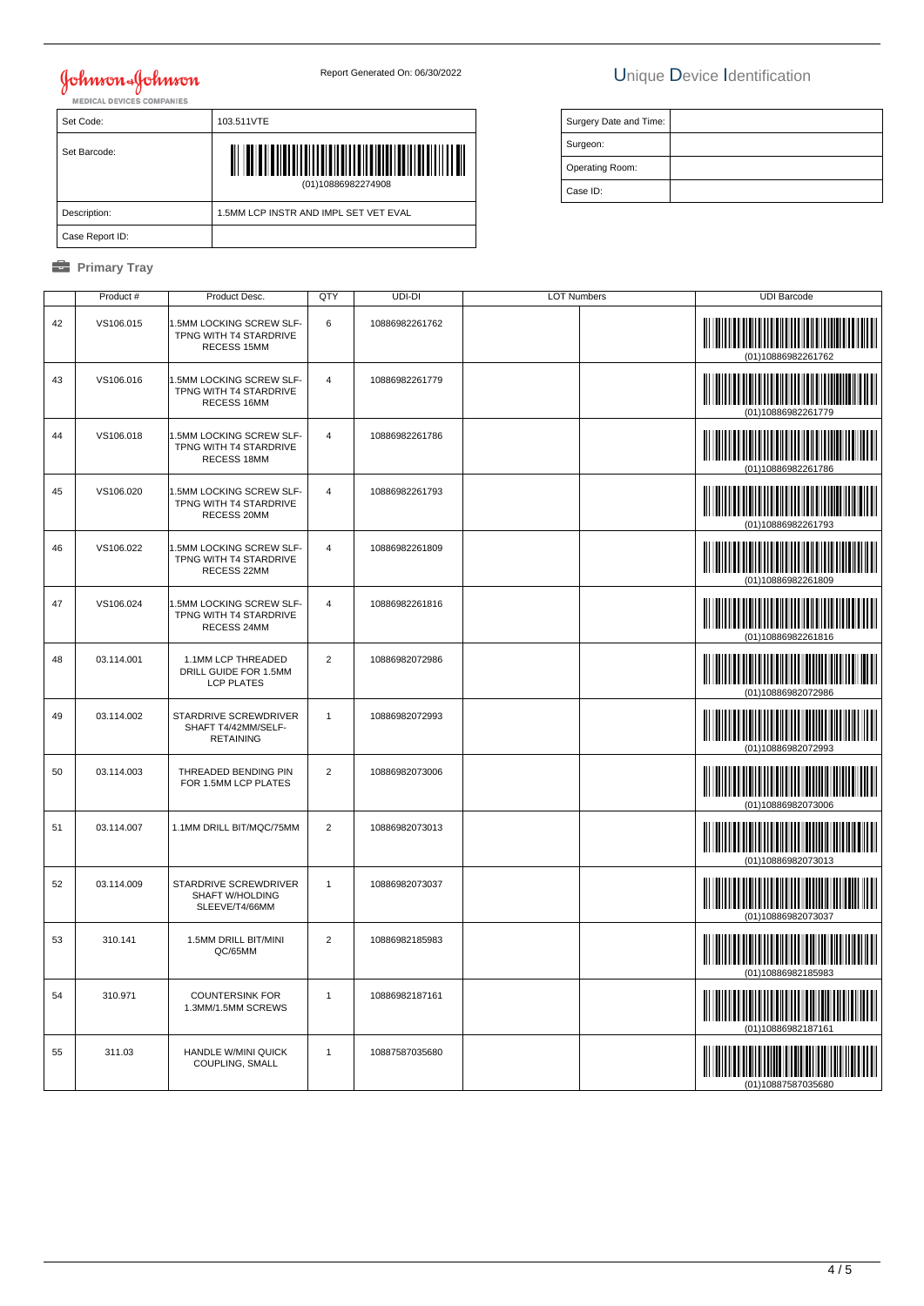## Johnson Johnson

## Report Generated On: 06/30/2022 Unique Device Identification

Surgery Date and Time:

 Surgeon: Operating Room: Case ID:

| MENIUAL DETIULO UUMFANILO |                                       |  |  |  |
|---------------------------|---------------------------------------|--|--|--|
| Set Code:                 | 103.511VTE                            |  |  |  |
| Set Barcode:              | (01)10886982274908                    |  |  |  |
| Description:              | 1.5MM LCP INSTR AND IMPL SET VET EVAL |  |  |  |
| Case Report ID:           |                                       |  |  |  |

#### *<u><b>* Primary Tray</u>

|    | Product #  | Product Desc.                                                     | QTY                     | UDI-DI         | <b>LOT Numbers</b> | <b>UDI Barcode</b>                                                                                                                         |
|----|------------|-------------------------------------------------------------------|-------------------------|----------------|--------------------|--------------------------------------------------------------------------------------------------------------------------------------------|
| 42 | VS106.015  | .5MM LOCKING SCREW SLF-<br>TPNG WITH T4 STARDRIVE<br>RECESS 15MM  | 6                       | 10886982261762 |                    | (01)10886982261762                                                                                                                         |
| 43 | VS106.016  | 1.5MM LOCKING SCREW SLF-<br>TPNG WITH T4 STARDRIVE<br>RECESS 16MM | $\overline{4}$          | 10886982261779 |                    | <u> III martin bilin bilin bilin bilin bilin bilin bilin bilin bilin bilin bilin bilin bilin bilin bilin bilin b</u><br>(01)10886982261779 |
| 44 | VS106.018  | .5MM LOCKING SCREW SLF-<br>TPNG WITH T4 STARDRIVE<br>RECESS 18MM  | $\overline{\mathbf{4}}$ | 10886982261786 |                    |                                                                                                                                            |
| 45 | VS106.020  | 1.5MM LOCKING SCREW SLF-<br>TPNG WITH T4 STARDRIVE<br>RECESS 20MM | 4                       | 10886982261793 |                    | (01)10886982261793                                                                                                                         |
| 46 | VS106.022  | .5MM LOCKING SCREW SLF-<br>TPNG WITH T4 STARDRIVE<br>RECESS 22MM  | $\overline{4}$          | 10886982261809 |                    | IIIIIIIIIIIIIIIII<br>(01)10886982261809                                                                                                    |
| 47 | VS106.024  | .5MM LOCKING SCREW SLF-<br>TPNG WITH T4 STARDRIVE<br>RECESS 24MM  | $\overline{4}$          | 10886982261816 |                    | (01)10886982261816                                                                                                                         |
| 48 | 03.114.001 | 1.1MM LCP THREADED<br>DRILL GUIDE FOR 1.5MM<br><b>LCP PLATES</b>  | $\overline{2}$          | 10886982072986 |                    | (01)10886982072986                                                                                                                         |
| 49 | 03.114.002 | STARDRIVE SCREWDRIVER<br>SHAFT T4/42MM/SELF-<br><b>RETAINING</b>  | $\mathbf{1}$            | 10886982072993 |                    | IIII<br>(01)10886982072993                                                                                                                 |
| 50 | 03.114.003 | THREADED BENDING PIN<br>FOR 1.5MM LCP PLATES                      | $\overline{2}$          | 10886982073006 |                    | (01)10886982073006                                                                                                                         |
| 51 | 03.114.007 | 1.1MM DRILL BIT/MQC/75MM                                          | $\overline{2}$          | 10886982073013 |                    | (01)10886982073013                                                                                                                         |
| 52 | 03.114.009 | STARDRIVE SCREWDRIVER<br>SHAFT W/HOLDING<br>SLEEVE/T4/66MM        | $\mathbf{1}$            | 10886982073037 |                    | (01)10886982073037                                                                                                                         |
| 53 | 310.141    | 1.5MM DRILL BIT/MINI<br>QC/65MM                                   | $\overline{2}$          | 10886982185983 |                    | <u> III martin sa</u><br>(01)10886982185983                                                                                                |
| 54 | 310.971    | <b>COUNTERSINK FOR</b><br>1.3MM/1.5MM SCREWS                      | $\mathbf{1}$            | 10886982187161 |                    |                                                                                                                                            |
| 55 | 311.03     | HANDLE W/MINI QUICK<br>COUPLING, SMALL                            | $\mathbf{1}$            | 10887587035680 |                    |                                                                                                                                            |